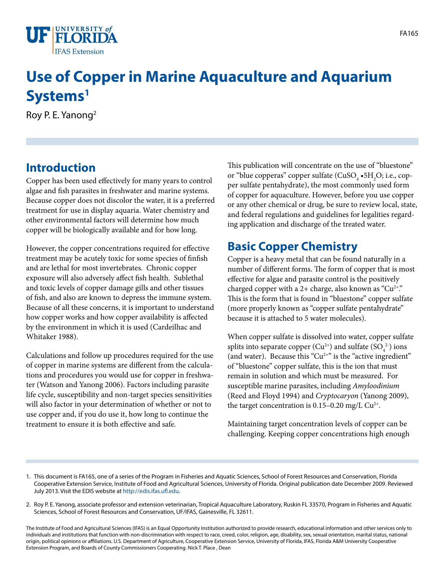

# **Use of Copper in Marine Aquaculture and Aquarium Systems1**

Roy P. E. Yanong2

### **Introduction**

Copper has been used effectively for many years to control algae and fish parasites in freshwater and marine systems. Because copper does not discolor the water, it is a preferred treatment for use in display aquaria. Water chemistry and other environmental factors will determine how much copper will be biologically available and for how long.

However, the copper concentrations required for effective treatment may be acutely toxic for some species of finfish and are lethal for most invertebrates. Chronic copper exposure will also adversely affect fish health. Sublethal and toxic levels of copper damage gills and other tissues of fish, and also are known to depress the immune system. Because of all these concerns, it is important to understand how copper works and how copper availability is affected by the environment in which it is used (Cardeilhac and Whitaker 1988).

Calculations and follow up procedures required for the use of copper in marine systems are different from the calculations and procedures you would use for copper in freshwater (Watson and Yanong 2006). Factors including parasite life cycle, susceptibility and non-target species sensitivities will also factor in your determination of whether or not to use copper and, if you do use it, how long to continue the treatment to ensure it is both effective and safe.

This publication will concentrate on the use of "bluestone" or "blue copperas" copper sulfate (CuSO $_{\textrm {4}}$  •5H $_{\textrm {2}}$ O; i.e., copper sulfate pentahydrate), the most commonly used form of copper for aquaculture. However, before you use copper or any other chemical or drug, be sure to review local, state, and federal regulations and guidelines for legalities regarding application and discharge of the treated water.

### **Basic Copper Chemistry**

Copper is a heavy metal that can be found naturally in a number of different forms. The form of copper that is most effective for algae and parasite control is the positively charged copper with a 2+ charge, also known as " $Cu^{2+}$ ". This is the form that is found in "bluestone" copper sulfate (more properly known as "copper sulfate pentahydrate" because it is attached to 5 water molecules).

When copper sulfate is dissolved into water, copper sulfate splits into separate copper  $(Cu^{2+})$  and sulfate  $(SO_4^{2-})$  ions (and water). Because this " $Cu<sup>2+</sup>$ " is the "active ingredient" of "bluestone" copper sulfate, this is the ion that must remain in solution and which must be measured. For susceptible marine parasites, including *Amyloodinium* (Reed and Floyd 1994) and *Cryptocaryon* (Yanong 2009), the target concentration is  $0.15-0.20$  mg/L Cu<sup>2+</sup>.

Maintaining target concentration levels of copper can be challenging. Keeping copper concentrations high enough

- 1. This document is FA165, one of a series of the Program in Fisheries and Aquatic Sciences, School of Forest Resources and Conservation, Florida Cooperative Extension Service, Institute of Food and Agricultural Sciences, University of Florida. Original publication date December 2009. Reviewed July 2013. Visit the EDIS website at<http://edis.ifas.ufl.edu>.
- 2. Roy P. E. Yanong, associate professor and extension veterinarian, Tropical Aquaculture Laboratory, Ruskin FL 33570, Program in Fisheries and Aquatic Sciences, School of Forest Resources and Conservation, UF/IFAS, Gainesville, FL 32611.

The Institute of Food and Agricultural Sciences (IFAS) is an Equal Opportunity Institution authorized to provide research, educational information and other services only to individuals and institutions that function with non-discrimination with respect to race, creed, color, religion, age, disability, sex, sexual orientation, marital status, national origin, political opinions or affiliations. U.S. Department of Agriculture, Cooperative Extension Service, University of Florida, IFAS, Florida A&M University Cooperative Extension Program, and Boards of County Commissioners Cooperating. Nick T. Place , Dean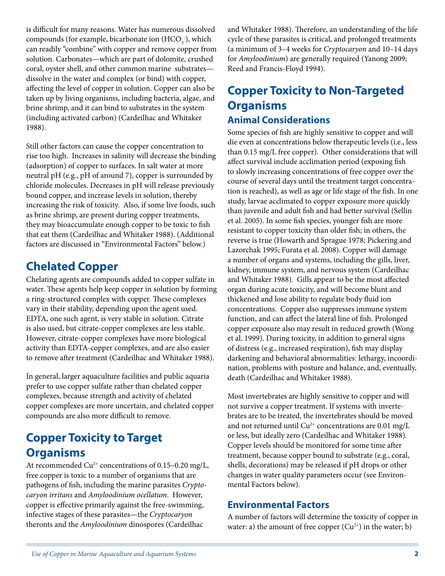is difficult for many reasons. Water has numerous dissolved compounds (for example, bicarbonate ion  $(HCO<sub>3</sub>$ ), which can readily "combine" with copper and remove copper from solution. Carbonates—which are part of dolomite, crushed coral, oyster shell, and other common marine substrates dissolve in the water and complex (or bind) with copper, affecting the level of copper in solution. Copper can also be taken up by living organisms, including bacteria, algae, and brine shrimp, and it can bind to substrates in the system (including activated carbon) (Cardeilhac and Whitaker 1988).

Still other factors can cause the copper concentration to rise too high. Increases in salinity will decrease the binding (adsorption) of copper to surfaces. In salt water at more neutral pH (e.g., pH of around 7), copper is surrounded by chloride molecules. Decreases in pH will release previously bound copper, and increase levels in solution, thereby increasing the risk of toxicity. Also, if some live foods, such as brine shrimp, are present during copper treatments, they may bioaccumulate enough copper to be toxic to fish that eat them (Cardeilhac and Whitaker 1988). (Additional factors are discussed in "Environmental Factors" below.)

### **Chelated Copper**

Chelating agents are compounds added to copper sulfate in water. These agents help keep copper in solution by forming a ring-structured complex with copper. These complexes vary in their stability, depending upon the agent used. EDTA, one such agent, is very stable in solution. Citrate is also used, but citrate-copper complexes are less stable. However, citrate-copper complexes have more biological activity than EDTA-copper complexes, and are also easier to remove after treatment (Cardeilhac and Whitaker 1988).

In general, larger aquaculture facilities and public aquaria prefer to use copper sulfate rather than chelated copper complexes, because strength and activity of chelated copper complexes are more uncertain, and chelated copper compounds are also more difficult to remove.

### **Copper Toxicity to Target Organisms**

At recommended  $Cu^{2+}$  concentrations of 0.15–0.20 mg/L, free copper is toxic to a number of organisms that are pathogens of fish, including the marine parasites *Cryptocaryon irritans* and *Amyloodinium ocellatum*. However, copper is effective primarily against the free-swimming, infective stages of these parasites—the *Cryptocaryon* theronts and the *Amyloodinium* dinospores (Cardeilhac

and Whitaker 1988). Therefore, an understanding of the life cycle of these parasites is critical, and prolonged treatments (a minimum of 3–4 weeks for *Cryptocaryon* and 10–14 days for *Amyloodinium*) are generally required (Yanong 2009; Reed and Francis-Floyd 1994).

### **Copper Toxicity to Non-Targeted Organisms Animal Considerations**

Some species of fish are highly sensitive to copper and will die even at concentrations below therapeutic levels (i.e., less than 0.15 mg/L free copper). Other considerations that will affect survival include acclimation period (exposing fish to slowly increasing concentrations of free copper over the course of several days until the treatment target concentration is reached), as well as age or life stage of the fish. In one study, larvae acclimated to copper exposure more quickly than juvenile and adult fish and had better survival (Sellin et al. 2005). In some fish species, younger fish are more resistant to copper toxicity than older fish; in others, the reverse is true (Howarth and Sprague 1978; Pickering and Lazorchak 1995; Furata et al. 2008). Copper will damage a number of organs and systems, including the gills, liver, kidney, immune system, and nervous system (Cardeilhac and Whitaker 1988). Gills appear to be the most affected organ during acute toxicity, and will become blunt and thickened and lose ability to regulate body fluid ion concentrations. Copper also suppresses immune system function, and can affect the lateral line of fish. Prolonged copper exposure also may result in reduced growth (Wong et al. 1999). During toxicity, in addition to general signs of distress (e.g., increased respiration), fish may display darkening and behavioral abnormalities: lethargy, incoordination, problems with posture and balance, and, eventually, death (Cardeilhac and Whitaker 1988).

Most invertebrates are highly sensitive to copper and will not survive a copper treatment. If systems with invertebrates are to be treated, the invertebrates should be moved and not returned until  $Cu^{2+}$  concentrations are 0.01 mg/L or less, but ideally zero (Cardeilhac and Whitaker 1988). Copper levels should be monitored for some time after treatment, because copper bound to substrate (e.g., coral, shells, decorations) may be released if pH drops or other changes in water quality parameters occur (see Environmental Factors below).

#### **Environmental Factors**

A number of factors will determine the toxicity of copper in water: a) the amount of free copper  $(Cu^{2+})$  in the water; b)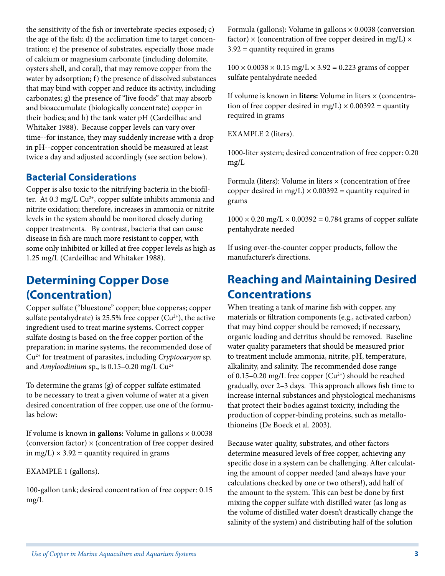the sensitivity of the fish or invertebrate species exposed; c) the age of the fish; d) the acclimation time to target concentration; e) the presence of substrates, especially those made of calcium or magnesium carbonate (including dolomite, oysters shell, and coral), that may remove copper from the water by adsorption; f) the presence of dissolved substances that may bind with copper and reduce its activity, including carbonates; g) the presence of "live foods" that may absorb and bioaccumulate (biologically concentrate) copper in their bodies; and h) the tank water pH (Cardeilhac and Whitaker 1988). Because copper levels can vary over time--for instance, they may suddenly increase with a drop in pH--copper concentration should be measured at least twice a day and adjusted accordingly (see section below).

#### **Bacterial Considerations**

Copper is also toxic to the nitrifying bacteria in the biofilter. At 0.3 mg/L Cu<sup>2+</sup>, copper sulfate inhibits ammonia and nitrite oxidation; therefore, increases in ammonia or nitrite levels in the system should be monitored closely during copper treatments. By contrast, bacteria that can cause disease in fish are much more resistant to copper, with some only inhibited or killed at free copper levels as high as 1.25 mg/L (Cardeilhac and Whitaker 1988).

### **Determining Copper Dose (Concentration)**

Copper sulfate ("bluestone" copper; blue copperas; copper sulfate pentahydrate) is 25.5% free copper  $(Cu^{2+})$ , the active ingredient used to treat marine systems. Correct copper sulfate dosing is based on the free copper portion of the preparation; in marine systems, the recommended dose of Cu2+ for treatment of parasites, including *Cryptocaryon* sp. and *Amyloodinium* sp., is 0.15-0.20 mg/L Cu<sup>2+</sup>

To determine the grams (g) of copper sulfate estimated to be necessary to treat a given volume of water at a given desired concentration of free copper, use one of the formulas below:

If volume is known in **gallons:** Volume in gallons  $\times$  0.0038 (conversion factor)  $\times$  (concentration of free copper desired in mg/L)  $\times$  3.92 = quantity required in grams

EXAMPLE 1 (gallons).

100-gallon tank; desired concentration of free copper: 0.15 mg/L

Formula (gallons): Volume in gallons × 0.0038 (conversion factor)  $\times$  (concentration of free copper desired in mg/L)  $\times$ 3.92 = quantity required in grams

 $100 \times 0.0038 \times 0.15$  mg/L  $\times 3.92 = 0.223$  grams of copper sulfate pentahydrate needed

If volume is known in **liters:** Volume in liters × (concentration of free copper desired in mg/L)  $\times$  0.00392 = quantity required in grams

EXAMPLE 2 (liters).

1000-liter system; desired concentration of free copper: 0.20 mg/L

Formula (liters): Volume in liters  $\times$  (concentration of free copper desired in mg/L)  $\times$  0.00392 = quantity required in grams

 $1000 \times 0.20$  mg/L  $\times$  0.00392 = 0.784 grams of copper sulfate pentahydrate needed

If using over-the-counter copper products, follow the manufacturer's directions.

### **Reaching and Maintaining Desired Concentrations**

When treating a tank of marine fish with copper, any materials or filtration components (e.g., activated carbon) that may bind copper should be removed; if necessary, organic loading and detritus should be removed. Baseline water quality parameters that should be measured prior to treatment include ammonia, nitrite, pH, temperature, alkalinity, and salinity. The recommended dose range of 0.15–0.20 mg/L free copper  $(Cu^{2+})$  should be reached gradually, over 2–3 days. This approach allows fish time to increase internal substances and physiological mechanisms that protect their bodies against toxicity, including the production of copper-binding proteins, such as metallothioneins (De Boeck et al. 2003).

Because water quality, substrates, and other factors determine measured levels of free copper, achieving any specific dose in a system can be challenging. After calculating the amount of copper needed (and always have your calculations checked by one or two others!), add half of the amount to the system. This can best be done by first mixing the copper sulfate with distilled water (as long as the volume of distilled water doesn't drastically change the salinity of the system) and distributing half of the solution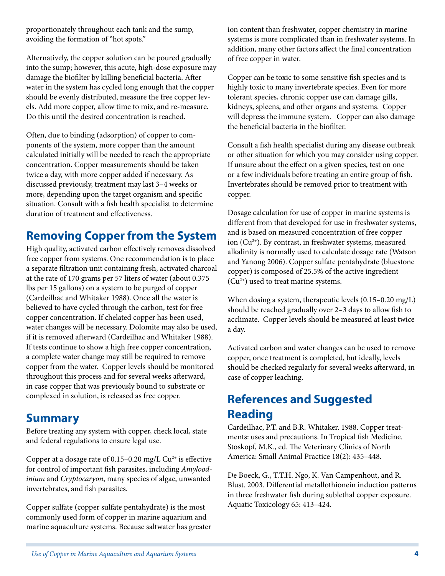proportionately throughout each tank and the sump, avoiding the formation of "hot spots."

Alternatively, the copper solution can be poured gradually into the sump; however, this acute, high-dose exposure may damage the biofilter by killing beneficial bacteria. After water in the system has cycled long enough that the copper should be evenly distributed, measure the free copper levels. Add more copper, allow time to mix, and re-measure. Do this until the desired concentration is reached.

Often, due to binding (adsorption) of copper to components of the system, more copper than the amount calculated initially will be needed to reach the appropriate concentration. Copper measurements should be taken twice a day, with more copper added if necessary. As discussed previously, treatment may last 3–4 weeks or more, depending upon the target organism and specific situation. Consult with a fish health specialist to determine duration of treatment and effectiveness.

# **Removing Copper from the System**

High quality, activated carbon effectively removes dissolved free copper from systems. One recommendation is to place a separate filtration unit containing fresh, activated charcoal at the rate of 170 grams per 57 liters of water (about 0.375 lbs per 15 gallons) on a system to be purged of copper (Cardeilhac and Whitaker 1988). Once all the water is believed to have cycled through the carbon, test for free copper concentration. If chelated copper has been used, water changes will be necessary. Dolomite may also be used, if it is removed afterward (Cardeilhac and Whitaker 1988). If tests continue to show a high free copper concentration, a complete water change may still be required to remove copper from the water. Copper levels should be monitored throughout this process and for several weeks afterward, in case copper that was previously bound to substrate or complexed in solution, is released as free copper.

### **Summary**

Before treating any system with copper, check local, state and federal regulations to ensure legal use.

Copper at a dosage rate of  $0.15-0.20$  mg/L Cu<sup>2+</sup> is effective for control of important fish parasites, including *Amyloodinium* and *Cryptocaryon*, many species of algae, unwanted invertebrates, and fish parasites.

Copper sulfate (copper sulfate pentahydrate) is the most commonly used form of copper in marine aquarium and marine aquaculture systems. Because saltwater has greater ion content than freshwater, copper chemistry in marine systems is more complicated than in freshwater systems. In addition, many other factors affect the final concentration of free copper in water.

Copper can be toxic to some sensitive fish species and is highly toxic to many invertebrate species. Even for more tolerant species, chronic copper use can damage gills, kidneys, spleens, and other organs and systems. Copper will depress the immune system. Copper can also damage the beneficial bacteria in the biofilter.

Consult a fish health specialist during any disease outbreak or other situation for which you may consider using copper. If unsure about the effect on a given species, test on one or a few individuals before treating an entire group of fish. Invertebrates should be removed prior to treatment with copper.

Dosage calculation for use of copper in marine systems is different from that developed for use in freshwater systems, and is based on measured concentration of free copper ion (Cu2+). By contrast, in freshwater systems, measured alkalinity is normally used to calculate dosage rate (Watson and Yanong 2006). Copper sulfate pentahydrate (bluestone copper) is composed of 25.5% of the active ingredient  $(Cu^{2+})$  used to treat marine systems.

When dosing a system, therapeutic levels (0.15–0.20 mg/L) should be reached gradually over 2–3 days to allow fish to acclimate. Copper levels should be measured at least twice a day.

Activated carbon and water changes can be used to remove copper, once treatment is completed, but ideally, levels should be checked regularly for several weeks afterward, in case of copper leaching.

# **References and Suggested Reading**

Cardeilhac, P.T. and B.R. Whitaker. 1988. Copper treatments: uses and precautions. In Tropical fish Medicine. Stoskopf, M.K., ed. The Veterinary Clinics of North America: Small Animal Practice 18(2): 435–448.

De Boeck, G., T.T.H. Ngo, K. Van Campenhout, and R. Blust. 2003. Differential metallothionein induction patterns in three freshwater fish during sublethal copper exposure. Aquatic Toxicology 65: 413–424.